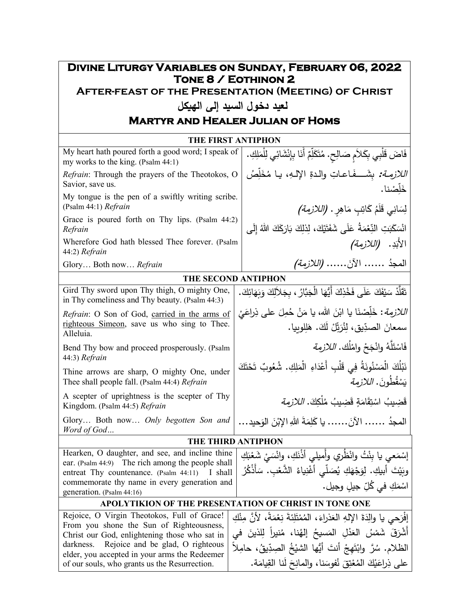## **Divine Liturgy Variables on Sunday, February 06, 2022 Tone 8 / Eothinon 2**

**After-feast of the Presentation (Meeting) of Christ**

## **لعید دخول السید إلى اله�كل**

## **Martyr and Healer Julian of Homs**

| <b>THE FIRST ANTIPHON</b>                                                                                                                                                                                                                  |                                                                                                                                                                                                                                 |  |  |
|--------------------------------------------------------------------------------------------------------------------------------------------------------------------------------------------------------------------------------------------|---------------------------------------------------------------------------------------------------------------------------------------------------------------------------------------------------------------------------------|--|--|
| My heart hath poured forth a good word; I speak of<br>my works to the king. (Psalm 44:1)                                                                                                                                                   | فَاضَ قَلْبِي بِكَلاَمِ صَالِحٍ. مُتَكَلِّمٌ أَنَا بِإِنْشَائِي لِلْمَلِكِ.                                                                                                                                                     |  |  |
| <i>Refrain:</i> Through the prayers of the Theotokos, O<br>Savior, save us.                                                                                                                                                                | اللازمة: بشَـــفَـاعـاتِ والدةِ الإلـهِ، يـا مُخَلِّصُ<br>خَلِّصْنا.                                                                                                                                                            |  |  |
| My tongue is the pen of a swiftly writing scribe.<br>(Psalm 44:1) Refrain                                                                                                                                                                  | لِسَانِي قَلَمُ كَاتِبٍ مَاهِرٍ . <i>(اللازمة)</i>                                                                                                                                                                              |  |  |
| Grace is poured forth on Thy lips. (Psalm 44:2)<br>Refrain                                                                                                                                                                                 | انْسَكَبَتِ النِّعْمَةُ عَلَى شَفَتَيْكَ، لِذلِكَ بَارَكَكَ اللّهُ إِلَى                                                                                                                                                        |  |  |
| Wherefore God hath blessed Thee forever. (Psalm<br>44:2) Refrain                                                                                                                                                                           | الأَبَدِ. <i>(اللازمة)</i>                                                                                                                                                                                                      |  |  |
| Glory Both now Refrain                                                                                                                                                                                                                     | المعجدُ  الآنَ <i>(اللازمة)</i>                                                                                                                                                                                                 |  |  |
| THE SECOND ANTIPHON                                                                                                                                                                                                                        |                                                                                                                                                                                                                                 |  |  |
| Gird Thy sword upon Thy thigh, O mighty One,<br>in Thy comeliness and Thy beauty. (Psalm 44:3)                                                                                                                                             | نَّقَلَّدْ سَيْفَكَ عَلَى فَخْذِكَ أَيُّهَا الْجَبَّارُ ، بِجَلاَلِكَ وَبَهَائِكَ.                                                                                                                                              |  |  |
| Refrain: O Son of God, carried in the arms of<br>righteous Simeon, save us who sing to Thee.<br>Alleluia.                                                                                                                                  | اللازمة: خَلِّصْنَا يا ابْنَ الله، يا مَنْ حُمِلَ على ذِراعَيْ<br>سمعانَ الصدِّيقِ، لِثُرَيِّلْ لَكَ. هَلِلوبِيا.                                                                                                               |  |  |
| Bend Thy bow and proceed prosperously. (Psalm<br>44:3) Refrain                                                                                                                                                                             | فَاسْتَلَّهُ وانْجَحْ وامْلُك. اللازمة                                                                                                                                                                                          |  |  |
| Thine arrows are sharp, O mighty One, under<br>Thee shall people fall. (Psalm 44:4) Refrain                                                                                                                                                | نَبْلُكَ الْمَسْنُونَةُ فِي قَلْبِ أَعْدَاءِ الْمَلِكِ. شُعُوبٌ تَحْتَكَ<br>يَسْقُطُونَ. اللازمة                                                                                                                                |  |  |
| A scepter of uprightness is the scepter of Thy<br>Kingdom. (Psalm 44:5) Refrain                                                                                                                                                            | قَضِيبُ اسْتِقَامَةٍ قَضِيبُ مُلْكِكَ. <i>اللازمة</i>                                                                                                                                                                           |  |  |
| Glory Both now Only begotten Son and<br>Word of God                                                                                                                                                                                        | المجدُ ……. الآنَ.…… يا كَلِمَةَ اللهِ الإِبْنَ الوَحيد…                                                                                                                                                                         |  |  |
| THE THIRD ANTIPHON                                                                                                                                                                                                                         |                                                                                                                                                                                                                                 |  |  |
| Hearken, O daughter, and see, and incline thine<br>ear. (Psalm 44:9) The rich among the people shall<br>entreat Thy countenance. (Psalm 44:11) I shall<br>commemorate thy name in every generation and<br>generation. (Psalm 44:16)        | إِسْمَعي يا بِنْتُ وانْظُرِي وأِميلِي أَذْنَكِ، وانْسَىْ شَعْبَكِ<br>وبَيْتَ أَبِيكِ. لِوَجْهَكِ يُصَلَّى أَغْنِياءُ الشَّعْبِ. سَأَذْكُرُ<br>اسْمَكِ في كُلِّ جيلٍ وجيل.                                                       |  |  |
| APOLYTIKION OF THE PRESENTATION OF CHRIST IN TONE ONE                                                                                                                                                                                      |                                                                                                                                                                                                                                 |  |  |
| Rejoice, O Virgin Theotokos, Full of Grace!<br>From you shone the Sun of Righteousness,<br>Christ our God, enlightening those who sat in<br>darkness.<br>Rejoice and be glad, O righteous<br>elder, you accepted in your arms the Redeemer | إفْرَحي يا والِدَةَ الإِلهِ الْعَذْرَاءَ، الْمُمْتَلِئَةَ نِعْمَةً، لأَنَّ مِنْكِ<br>أَشْرَقَ شَمْسُ الْعَدْلِ الْمَسيحُ إِلْهُنا، مُنيراً لِلَّذينَ في<br>الظلام. سُرَّ وابْتَهِجْ أَنتَ أَيُّها الشَّيْخُ الصِدِّيقُ، حامِلاً |  |  |
|                                                                                                                                                                                                                                            |                                                                                                                                                                                                                                 |  |  |

of our souls, who grants us the Resurrection.

على ذِراعَيْكَ المُعْتِقَ نُفوسَنا، والمانِحَ لَنا القِيامَة.<br>-ْ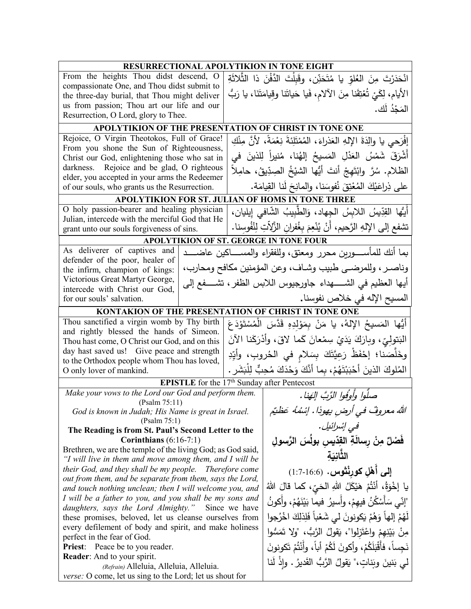| <b>RESURRECTIONAL APOLYTIKION IN TONE EIGHT</b><br>From the heights Thou didst descend, O<br>انْحَدَرْتَ مِنَ العُلوِّ يا مُتَحَنِّن، وقَبِلْتَ الدَّفْنَ ذا الثَّلاَثَةِ<br>compassionate One, and Thou didst submit to<br>الأَيام، لِكَيْ تُعْتِقَنا مِنَ الآلامِ، فَيا حَياتَنا وقِيامَتَنَا، يا رَبُّ<br>the three-day burial, that Thou might deliver<br>us from passion; Thou art our life and our<br>المَجْدُ لَك.<br>Resurrection, O Lord, glory to Thee.<br>APOLYTIKION OF THE PRESENTATION OF CHRIST IN TONE ONE<br>Rejoice, O Virgin Theotokos, Full of Grace!<br>إفْرَحي يا والِدَةَ الإِلهِ العَذراءَ، المُمْتَلِئةَ نِعْمَةً، لأنَّ مِنْكِ<br>From you shone the Sun of Righteousness,<br>أَشْرَقَ شَمْسُ العَذْلِ المَسيحُ إلهُنا، مُنيراً لِلذينَ في<br>Christ our God, enlightening those who sat in<br>darkness. Rejoice and be glad, O righteous<br>الظلام. سُرَّ وابْتَهجْ أَنتَ أَيُّها الشَّيْخُ الْصِدِّيقُ، حامِلاً<br>elder, you accepted in your arms the Redeemer<br>على ذِراعَيْكَ المُعْنِقَ نُفوسَنا، والمانِحَ لَنا القِيامَة.<br>of our souls, who grants us the Resurrection.<br>APOLYTIKION FOR ST. JULIAN OF HOMS IN TONE THREE<br>O holy passion-bearer and healing physician<br>أَيُّها القِدِّيسُ اللابِسُ الجِهاد، وَالطَّبِيبُ الشَّافي إِيليان،<br>Julian, intercede with the merciful God that He<br>تشفع إلى الإلهِ الرَّحيمِ، أنْ يُنْعِمَ بغُفرانِ الزَّلِاّتِ لِنُفُوسنا.<br>grant unto our souls forgiveness of sins.<br>APOLYTIKION OF ST. GEORGE IN TONE FOUR<br>As deliverer of captives and<br>بما أنك للمأســــورين محرر ومعتق، وللفقراء والمســـــاكين عاضـــــد<br>defender of the poor, healer of<br>وناصر ، وللمرضىي طبيب وشاف، وعن المؤمنين مكافح ومحارب،<br>the infirm, champion of kings:<br>Victorious Great Martyr George,<br>أيها العظيم في الشـــــهداء جاورجيوس اللابس الظفر ، تشــــفع إلى<br>intercede with Christ our God,<br>المسيح الإله في خلاص نفوسنا.<br>for our souls' salvation.<br>KONTAKION OF THE PRESENTATION OF CHRIST IN TONE ONE<br>Thou sanctified a virgin womb by Thy birth<br>أَيُّها المَسيحُ اﻹلهُ، يا مَنْ بِمَوْلِدِهِ قَدَّسَ الْمُسْتَوْدَعَ<br>and rightly blessed the hands of Simeon.<br>الْبَتولِيِّ، وبارَكَ يَدَيْ سِمْعانَ كَما لاقَ، وأَدْرَكَنا الآنَ<br>Thou hast come, O Christ our God, and on this |  |  |
|------------------------------------------------------------------------------------------------------------------------------------------------------------------------------------------------------------------------------------------------------------------------------------------------------------------------------------------------------------------------------------------------------------------------------------------------------------------------------------------------------------------------------------------------------------------------------------------------------------------------------------------------------------------------------------------------------------------------------------------------------------------------------------------------------------------------------------------------------------------------------------------------------------------------------------------------------------------------------------------------------------------------------------------------------------------------------------------------------------------------------------------------------------------------------------------------------------------------------------------------------------------------------------------------------------------------------------------------------------------------------------------------------------------------------------------------------------------------------------------------------------------------------------------------------------------------------------------------------------------------------------------------------------------------------------------------------------------------------------------------------------------------------------------------------------------------------------------------------------------------------------------------------------------------------------------------------------------------------------------------------------------------------------------------------------------------------------------------------------------------------------------------------------------------------------------------------------------------------------------------------------------------------------------------------------|--|--|
|                                                                                                                                                                                                                                                                                                                                                                                                                                                                                                                                                                                                                                                                                                                                                                                                                                                                                                                                                                                                                                                                                                                                                                                                                                                                                                                                                                                                                                                                                                                                                                                                                                                                                                                                                                                                                                                                                                                                                                                                                                                                                                                                                                                                                                                                                                            |  |  |
|                                                                                                                                                                                                                                                                                                                                                                                                                                                                                                                                                                                                                                                                                                                                                                                                                                                                                                                                                                                                                                                                                                                                                                                                                                                                                                                                                                                                                                                                                                                                                                                                                                                                                                                                                                                                                                                                                                                                                                                                                                                                                                                                                                                                                                                                                                            |  |  |
|                                                                                                                                                                                                                                                                                                                                                                                                                                                                                                                                                                                                                                                                                                                                                                                                                                                                                                                                                                                                                                                                                                                                                                                                                                                                                                                                                                                                                                                                                                                                                                                                                                                                                                                                                                                                                                                                                                                                                                                                                                                                                                                                                                                                                                                                                                            |  |  |
|                                                                                                                                                                                                                                                                                                                                                                                                                                                                                                                                                                                                                                                                                                                                                                                                                                                                                                                                                                                                                                                                                                                                                                                                                                                                                                                                                                                                                                                                                                                                                                                                                                                                                                                                                                                                                                                                                                                                                                                                                                                                                                                                                                                                                                                                                                            |  |  |
|                                                                                                                                                                                                                                                                                                                                                                                                                                                                                                                                                                                                                                                                                                                                                                                                                                                                                                                                                                                                                                                                                                                                                                                                                                                                                                                                                                                                                                                                                                                                                                                                                                                                                                                                                                                                                                                                                                                                                                                                                                                                                                                                                                                                                                                                                                            |  |  |
|                                                                                                                                                                                                                                                                                                                                                                                                                                                                                                                                                                                                                                                                                                                                                                                                                                                                                                                                                                                                                                                                                                                                                                                                                                                                                                                                                                                                                                                                                                                                                                                                                                                                                                                                                                                                                                                                                                                                                                                                                                                                                                                                                                                                                                                                                                            |  |  |
|                                                                                                                                                                                                                                                                                                                                                                                                                                                                                                                                                                                                                                                                                                                                                                                                                                                                                                                                                                                                                                                                                                                                                                                                                                                                                                                                                                                                                                                                                                                                                                                                                                                                                                                                                                                                                                                                                                                                                                                                                                                                                                                                                                                                                                                                                                            |  |  |
|                                                                                                                                                                                                                                                                                                                                                                                                                                                                                                                                                                                                                                                                                                                                                                                                                                                                                                                                                                                                                                                                                                                                                                                                                                                                                                                                                                                                                                                                                                                                                                                                                                                                                                                                                                                                                                                                                                                                                                                                                                                                                                                                                                                                                                                                                                            |  |  |
|                                                                                                                                                                                                                                                                                                                                                                                                                                                                                                                                                                                                                                                                                                                                                                                                                                                                                                                                                                                                                                                                                                                                                                                                                                                                                                                                                                                                                                                                                                                                                                                                                                                                                                                                                                                                                                                                                                                                                                                                                                                                                                                                                                                                                                                                                                            |  |  |
|                                                                                                                                                                                                                                                                                                                                                                                                                                                                                                                                                                                                                                                                                                                                                                                                                                                                                                                                                                                                                                                                                                                                                                                                                                                                                                                                                                                                                                                                                                                                                                                                                                                                                                                                                                                                                                                                                                                                                                                                                                                                                                                                                                                                                                                                                                            |  |  |
|                                                                                                                                                                                                                                                                                                                                                                                                                                                                                                                                                                                                                                                                                                                                                                                                                                                                                                                                                                                                                                                                                                                                                                                                                                                                                                                                                                                                                                                                                                                                                                                                                                                                                                                                                                                                                                                                                                                                                                                                                                                                                                                                                                                                                                                                                                            |  |  |
|                                                                                                                                                                                                                                                                                                                                                                                                                                                                                                                                                                                                                                                                                                                                                                                                                                                                                                                                                                                                                                                                                                                                                                                                                                                                                                                                                                                                                                                                                                                                                                                                                                                                                                                                                                                                                                                                                                                                                                                                                                                                                                                                                                                                                                                                                                            |  |  |
|                                                                                                                                                                                                                                                                                                                                                                                                                                                                                                                                                                                                                                                                                                                                                                                                                                                                                                                                                                                                                                                                                                                                                                                                                                                                                                                                                                                                                                                                                                                                                                                                                                                                                                                                                                                                                                                                                                                                                                                                                                                                                                                                                                                                                                                                                                            |  |  |
|                                                                                                                                                                                                                                                                                                                                                                                                                                                                                                                                                                                                                                                                                                                                                                                                                                                                                                                                                                                                                                                                                                                                                                                                                                                                                                                                                                                                                                                                                                                                                                                                                                                                                                                                                                                                                                                                                                                                                                                                                                                                                                                                                                                                                                                                                                            |  |  |
|                                                                                                                                                                                                                                                                                                                                                                                                                                                                                                                                                                                                                                                                                                                                                                                                                                                                                                                                                                                                                                                                                                                                                                                                                                                                                                                                                                                                                                                                                                                                                                                                                                                                                                                                                                                                                                                                                                                                                                                                                                                                                                                                                                                                                                                                                                            |  |  |
|                                                                                                                                                                                                                                                                                                                                                                                                                                                                                                                                                                                                                                                                                                                                                                                                                                                                                                                                                                                                                                                                                                                                                                                                                                                                                                                                                                                                                                                                                                                                                                                                                                                                                                                                                                                                                                                                                                                                                                                                                                                                                                                                                                                                                                                                                                            |  |  |
|                                                                                                                                                                                                                                                                                                                                                                                                                                                                                                                                                                                                                                                                                                                                                                                                                                                                                                                                                                                                                                                                                                                                                                                                                                                                                                                                                                                                                                                                                                                                                                                                                                                                                                                                                                                                                                                                                                                                                                                                                                                                                                                                                                                                                                                                                                            |  |  |
|                                                                                                                                                                                                                                                                                                                                                                                                                                                                                                                                                                                                                                                                                                                                                                                                                                                                                                                                                                                                                                                                                                                                                                                                                                                                                                                                                                                                                                                                                                                                                                                                                                                                                                                                                                                                                                                                                                                                                                                                                                                                                                                                                                                                                                                                                                            |  |  |
|                                                                                                                                                                                                                                                                                                                                                                                                                                                                                                                                                                                                                                                                                                                                                                                                                                                                                                                                                                                                                                                                                                                                                                                                                                                                                                                                                                                                                                                                                                                                                                                                                                                                                                                                                                                                                                                                                                                                                                                                                                                                                                                                                                                                                                                                                                            |  |  |
|                                                                                                                                                                                                                                                                                                                                                                                                                                                                                                                                                                                                                                                                                                                                                                                                                                                                                                                                                                                                                                                                                                                                                                                                                                                                                                                                                                                                                                                                                                                                                                                                                                                                                                                                                                                                                                                                                                                                                                                                                                                                                                                                                                                                                                                                                                            |  |  |
|                                                                                                                                                                                                                                                                                                                                                                                                                                                                                                                                                                                                                                                                                                                                                                                                                                                                                                                                                                                                                                                                                                                                                                                                                                                                                                                                                                                                                                                                                                                                                                                                                                                                                                                                                                                                                                                                                                                                                                                                                                                                                                                                                                                                                                                                                                            |  |  |
|                                                                                                                                                                                                                                                                                                                                                                                                                                                                                                                                                                                                                                                                                                                                                                                                                                                                                                                                                                                                                                                                                                                                                                                                                                                                                                                                                                                                                                                                                                                                                                                                                                                                                                                                                                                                                                                                                                                                                                                                                                                                                                                                                                                                                                                                                                            |  |  |
|                                                                                                                                                                                                                                                                                                                                                                                                                                                                                                                                                                                                                                                                                                                                                                                                                                                                                                                                                                                                                                                                                                                                                                                                                                                                                                                                                                                                                                                                                                                                                                                                                                                                                                                                                                                                                                                                                                                                                                                                                                                                                                                                                                                                                                                                                                            |  |  |
|                                                                                                                                                                                                                                                                                                                                                                                                                                                                                                                                                                                                                                                                                                                                                                                                                                                                                                                                                                                                                                                                                                                                                                                                                                                                                                                                                                                                                                                                                                                                                                                                                                                                                                                                                                                                                                                                                                                                                                                                                                                                                                                                                                                                                                                                                                            |  |  |
|                                                                                                                                                                                                                                                                                                                                                                                                                                                                                                                                                                                                                                                                                                                                                                                                                                                                                                                                                                                                                                                                                                                                                                                                                                                                                                                                                                                                                                                                                                                                                                                                                                                                                                                                                                                                                                                                                                                                                                                                                                                                                                                                                                                                                                                                                                            |  |  |
|                                                                                                                                                                                                                                                                                                                                                                                                                                                                                                                                                                                                                                                                                                                                                                                                                                                                                                                                                                                                                                                                                                                                                                                                                                                                                                                                                                                                                                                                                                                                                                                                                                                                                                                                                                                                                                                                                                                                                                                                                                                                                                                                                                                                                                                                                                            |  |  |
| day hast saved us! Give peace and strength<br>وخَلَّصَنا؛ إحْفَظْ رَعِيَّتَكَ بِسَلامٍ في الْحُروبِ، وأَيِّدِ<br>to the Orthodox people whom Thou has loved,                                                                                                                                                                                                                                                                                                                                                                                                                                                                                                                                                                                                                                                                                                                                                                                                                                                                                                                                                                                                                                                                                                                                                                                                                                                                                                                                                                                                                                                                                                                                                                                                                                                                                                                                                                                                                                                                                                                                                                                                                                                                                                                                               |  |  |
| المُلوكَ الذينَ أَحْبَبْتَهُمْ، بِما أَنَّكَ وَحْدَكَ مُحِبٍّ لِلْبَشَرِ .<br>O only lover of mankind.                                                                                                                                                                                                                                                                                                                                                                                                                                                                                                                                                                                                                                                                                                                                                                                                                                                                                                                                                                                                                                                                                                                                                                                                                                                                                                                                                                                                                                                                                                                                                                                                                                                                                                                                                                                                                                                                                                                                                                                                                                                                                                                                                                                                     |  |  |
| <b>EPISTLE</b> for the 17 <sup>th</sup> Sunday after Pentecost                                                                                                                                                                                                                                                                                                                                                                                                                                                                                                                                                                                                                                                                                                                                                                                                                                                                                                                                                                                                                                                                                                                                                                                                                                                                                                                                                                                                                                                                                                                                                                                                                                                                                                                                                                                                                                                                                                                                                                                                                                                                                                                                                                                                                                             |  |  |
| Make your vows to the Lord our God and perform them.                                                                                                                                                                                                                                                                                                                                                                                                                                                                                                                                                                                                                                                                                                                                                                                                                                                                                                                                                                                                                                                                                                                                                                                                                                                                                                                                                                                                                                                                                                                                                                                                                                                                                                                                                                                                                                                                                                                                                                                                                                                                                                                                                                                                                                                       |  |  |
| صلُّوا وأوفوا الرَّبِّ إلهَنا.<br>(Psalm / 5:11)                                                                                                                                                                                                                                                                                                                                                                                                                                                                                                                                                                                                                                                                                                                                                                                                                                                                                                                                                                                                                                                                                                                                                                                                                                                                                                                                                                                                                                                                                                                                                                                                                                                                                                                                                                                                                                                                                                                                                                                                                                                                                                                                                                                                                                                           |  |  |
| الله معروفٌ في أرضٍ يهوذا. إسْمُهُ عَظْيُم<br>God is known in Judah; His Name is great in Israel.                                                                                                                                                                                                                                                                                                                                                                                                                                                                                                                                                                                                                                                                                                                                                                                                                                                                                                                                                                                                                                                                                                                                                                                                                                                                                                                                                                                                                                                                                                                                                                                                                                                                                                                                                                                                                                                                                                                                                                                                                                                                                                                                                                                                          |  |  |
| (Psalm 75:1)<br>في إشرائيل.                                                                                                                                                                                                                                                                                                                                                                                                                                                                                                                                                                                                                                                                                                                                                                                                                                                                                                                                                                                                                                                                                                                                                                                                                                                                                                                                                                                                                                                                                                                                                                                                                                                                                                                                                                                                                                                                                                                                                                                                                                                                                                                                                                                                                                                                                |  |  |
| The Reading is from St. Paul's Second Letter to the                                                                                                                                                                                                                                                                                                                                                                                                                                                                                                                                                                                                                                                                                                                                                                                                                                                                                                                                                                                                                                                                                                                                                                                                                                                                                                                                                                                                                                                                                                                                                                                                                                                                                                                                                                                                                                                                                                                                                                                                                                                                                                                                                                                                                                                        |  |  |
| فَصْلٌ مِنْ رسالَةِ القِدِّيسِ بولُسَ الرَّسولِ<br>Corinthians $(6:16-7:1)$                                                                                                                                                                                                                                                                                                                                                                                                                                                                                                                                                                                                                                                                                                                                                                                                                                                                                                                                                                                                                                                                                                                                                                                                                                                                                                                                                                                                                                                                                                                                                                                                                                                                                                                                                                                                                                                                                                                                                                                                                                                                                                                                                                                                                                |  |  |
| Brethren, we are the temple of the living God; as God said,<br>الثَّانيَةِ<br>"I will live in them and move among them, and I will be                                                                                                                                                                                                                                                                                                                                                                                                                                                                                                                                                                                                                                                                                                                                                                                                                                                                                                                                                                                                                                                                                                                                                                                                                                                                                                                                                                                                                                                                                                                                                                                                                                                                                                                                                                                                                                                                                                                                                                                                                                                                                                                                                                      |  |  |
| their God, and they shall be my people. Therefore come<br>إِلَى أَهْلِ كورِنْثوسِ. (16:6-1:7)                                                                                                                                                                                                                                                                                                                                                                                                                                                                                                                                                                                                                                                                                                                                                                                                                                                                                                                                                                                                                                                                                                                                                                                                                                                                                                                                                                                                                                                                                                                                                                                                                                                                                                                                                                                                                                                                                                                                                                                                                                                                                                                                                                                                              |  |  |
| out from them, and be separate from them, says the Lord,                                                                                                                                                                                                                                                                                                                                                                                                                                                                                                                                                                                                                                                                                                                                                                                                                                                                                                                                                                                                                                                                                                                                                                                                                                                                                                                                                                                                                                                                                                                                                                                                                                                                                                                                                                                                                                                                                                                                                                                                                                                                                                                                                                                                                                                   |  |  |
| يا إِخْوَةُ، أَنْتُمْ هَيْكَلُ اللهِ الْحَيِّ، كما قالَ اللهُ<br>and touch nothing unclean; then I will welcome you, and                                                                                                                                                                                                                                                                                                                                                                                                                                                                                                                                                                                                                                                                                                                                                                                                                                                                                                                                                                                                                                                                                                                                                                                                                                                                                                                                                                                                                                                                                                                                                                                                                                                                                                                                                                                                                                                                                                                                                                                                                                                                                                                                                                                   |  |  |
| I will be a father to you, and you shall be my sons and<br>"إنّي سَأَسْكُنُ فيهِمْ، وأَسيرُ فيما بَيْنَهُمْ، وأكونُ                                                                                                                                                                                                                                                                                                                                                                                                                                                                                                                                                                                                                                                                                                                                                                                                                                                                                                                                                                                                                                                                                                                                                                                                                                                                                                                                                                                                                                                                                                                                                                                                                                                                                                                                                                                                                                                                                                                                                                                                                                                                                                                                                                                        |  |  |
| daughters, says the Lord Almighty." Since we have                                                                                                                                                                                                                                                                                                                                                                                                                                                                                                                                                                                                                                                                                                                                                                                                                                                                                                                                                                                                                                                                                                                                                                                                                                                                                                                                                                                                                                                                                                                                                                                                                                                                                                                                                                                                                                                                                                                                                                                                                                                                                                                                                                                                                                                          |  |  |
| لَهُمْ إِلهاً وَهُمْ يَكونونَ لي شَعْباً فَلِذلِكَ اخْرُجوا<br>these promises, beloved, let us cleanse ourselves from                                                                                                                                                                                                                                                                                                                                                                                                                                                                                                                                                                                                                                                                                                                                                                                                                                                                                                                                                                                                                                                                                                                                                                                                                                                                                                                                                                                                                                                                                                                                                                                                                                                                                                                                                                                                                                                                                                                                                                                                                                                                                                                                                                                      |  |  |
| every defilement of body and spirit, and make holiness<br>مِنْ بَيْنِهِمْ واعْتَزِلُوا"، يَقُولُ الرَّبُّ، "ولا تَمَسُّوا                                                                                                                                                                                                                                                                                                                                                                                                                                                                                                                                                                                                                                                                                                                                                                                                                                                                                                                                                                                                                                                                                                                                                                                                                                                                                                                                                                                                                                                                                                                                                                                                                                                                                                                                                                                                                                                                                                                                                                                                                                                                                                                                                                                  |  |  |
| perfect in the fear of God.<br>نَجِساً، فأَقْبَلَكُمْ، وأكونَ لَكُمْ أَباً، وأَنْتُمْ تَكونونَ<br>Priest: Peace be to you reader.                                                                                                                                                                                                                                                                                                                                                                                                                                                                                                                                                                                                                                                                                                                                                                                                                                                                                                                                                                                                                                                                                                                                                                                                                                                                                                                                                                                                                                                                                                                                                                                                                                                                                                                                                                                                                                                                                                                                                                                                                                                                                                                                                                          |  |  |
| Reader: And to your spirit.                                                                                                                                                                                                                                                                                                                                                                                                                                                                                                                                                                                                                                                                                                                                                                                                                                                                                                                                                                                                                                                                                                                                                                                                                                                                                                                                                                                                                                                                                                                                                                                                                                                                                                                                                                                                                                                                                                                                                                                                                                                                                                                                                                                                                                                                                |  |  |
| لى بَنينَ وبَناتٍ،" يَقولُ الرَّبُّ القَديرُ . وإذْ لَنا<br>(Refrain) Alleluia, Alleluia, Alleluia.                                                                                                                                                                                                                                                                                                                                                                                                                                                                                                                                                                                                                                                                                                                                                                                                                                                                                                                                                                                                                                                                                                                                                                                                                                                                                                                                                                                                                                                                                                                                                                                                                                                                                                                                                                                                                                                                                                                                                                                                                                                                                                                                                                                                        |  |  |
| <i>verse:</i> O come, let us sing to the Lord; let us shout for                                                                                                                                                                                                                                                                                                                                                                                                                                                                                                                                                                                                                                                                                                                                                                                                                                                                                                                                                                                                                                                                                                                                                                                                                                                                                                                                                                                                                                                                                                                                                                                                                                                                                                                                                                                                                                                                                                                                                                                                                                                                                                                                                                                                                                            |  |  |